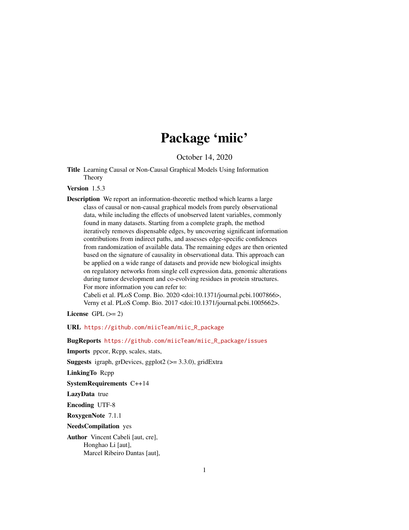# Package 'miic'

October 14, 2020

<span id="page-0-0"></span>Title Learning Causal or Non-Causal Graphical Models Using Information Theory

# Version 1.5.3

Description We report an information-theoretic method which learns a large class of causal or non-causal graphical models from purely observational data, while including the effects of unobserved latent variables, commonly found in many datasets. Starting from a complete graph, the method iteratively removes dispensable edges, by uncovering significant information contributions from indirect paths, and assesses edge-specific confidences from randomization of available data. The remaining edges are then oriented based on the signature of causality in observational data. This approach can be applied on a wide range of datasets and provide new biological insights on regulatory networks from single cell expression data, genomic alterations during tumor development and co-evolving residues in protein structures. For more information you can refer to:

Cabeli et al. PLoS Comp. Bio. 2020 <doi:10.1371/journal.pcbi.1007866>, Verny et al. PLoS Comp. Bio. 2017 <doi:10.1371/journal.pcbi.1005662>.

License GPL  $(>= 2)$ 

URL [https://github.com/miicTeam/miic\\_R\\_package](https://github.com/miicTeam/miic_R_package)

BugReports [https://github.com/miicTeam/miic\\_R\\_package/issues](https://github.com/miicTeam/miic_R_package/issues)

Imports ppcor, Rcpp, scales, stats,

**Suggests** igraph, grDevices, ggplot $2$  ( $> = 3.3.0$ ), gridExtra

LinkingTo Rcpp

SystemRequirements C++14

LazyData true

Encoding UTF-8

RoxygenNote 7.1.1

NeedsCompilation yes

Author Vincent Cabeli [aut, cre], Honghao Li [aut], Marcel Ribeiro Dantas [aut],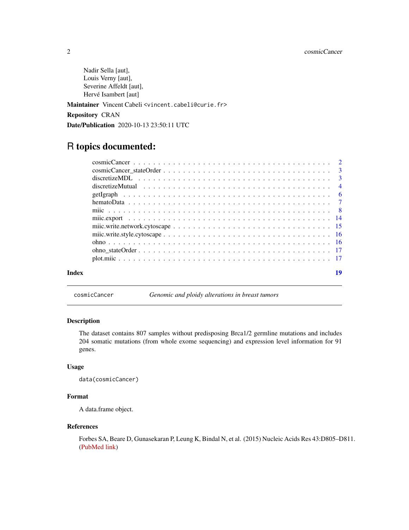<span id="page-1-0"></span>Nadir Sella [aut], Louis Verny [aut], Severine Affeldt [aut], Hervé Isambert [aut]

Maintainer Vincent Cabeli <vincent.cabeli@curie.fr>

Repository CRAN

Date/Publication 2020-10-13 23:50:11 UTC

# R topics documented:

| Index | 19 |
|-------|----|

cosmicCancer *Genomic and ploidy alterations in breast tumors*

# Description

The dataset contains 807 samples without predisposing Brca1/2 germline mutations and includes 204 somatic mutations (from whole exome sequencing) and expression level information for 91 genes.

# Usage

```
data(cosmicCancer)
```
# Format

A data.frame object.

# References

Forbes SA, Beare D, Gunasekaran P, Leung K, Bindal N, et al. (2015) Nucleic Acids Res 43:D805–D811. [\(PubMed link\)](https://pubmed.ncbi.nlm.nih.gov/25355519/)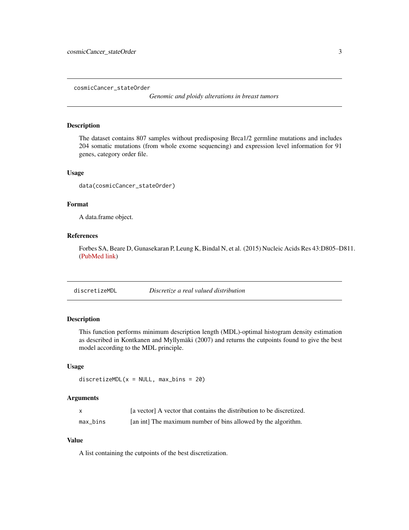<span id="page-2-0"></span>cosmicCancer\_stateOrder

*Genomic and ploidy alterations in breast tumors*

# Description

The dataset contains 807 samples without predisposing Brca1/2 germline mutations and includes 204 somatic mutations (from whole exome sequencing) and expression level information for 91 genes, category order file.

### Usage

data(cosmicCancer\_stateOrder)

# Format

A data.frame object.

# References

Forbes SA, Beare D, Gunasekaran P, Leung K, Bindal N, et al. (2015) Nucleic Acids Res 43:D805–D811. [\(PubMed link\)](https://pubmed.ncbi.nlm.nih.gov/25355519/)

discretizeMDL *Discretize a real valued distribution*

# Description

This function performs minimum description length (MDL)-optimal histogram density estimation as described in Kontkanen and Myllymäki (2007) and returns the cutpoints found to give the best model according to the MDL principle.

# Usage

discretizeMDL $(x = NULL, max\_bins = 20)$ 

# Arguments

| X        | [a vector] A vector that contains the distribution to be discretized. |
|----------|-----------------------------------------------------------------------|
| max_bins | [an int] The maximum number of bins allowed by the algorithm.         |

# Value

A list containing the cutpoints of the best discretization.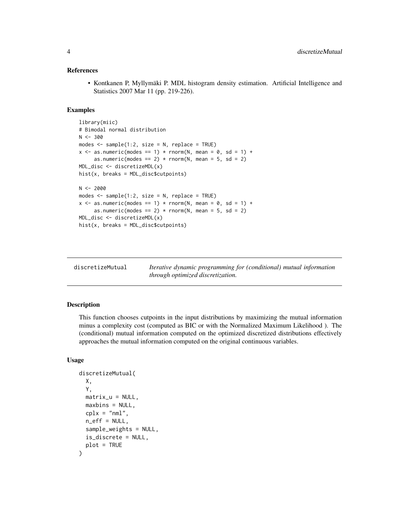## <span id="page-3-0"></span>References

• Kontkanen P, Myllymäki P. MDL histogram density estimation. Artificial Intelligence and Statistics 2007 Mar 11 (pp. 219-226).

# Examples

```
library(miic)
# Bimodal normal distribution
N < -300modes \leq sample(1:2, size = N, replace = TRUE)
x \le - as.numeric(modes == 1) * rnorm(N, mean = 0, sd = 1) +
     as.numeric(modes == 2) * rnorm(N, mean = 5, sd = 2)MDL_disc <- discretizeMDL(x)
hist(x, breaks = MDL_disc$cutpoints)
N < -2000modes \leq sample(1:2, size = N, replace = TRUE)
x \le - as.numeric(modes == 1) * rnorm(N, mean = 0, sd = 1) +
     as.numeric(modes == 2) * rnorm(N, mean = 5, sd = 2)MDL_disc <- discretizeMDL(x)
hist(x, breaks = MDL_disc$cutpoints)
```
<span id="page-3-1"></span>

| discretizeMutual | Iterative dynamic programming for (conditional) mutual information |
|------------------|--------------------------------------------------------------------|
|                  | through optimized discretization.                                  |

# Description

This function chooses cutpoints in the input distributions by maximizing the mutual information minus a complexity cost (computed as BIC or with the Normalized Maximum Likelihood ). The (conditional) mutual information computed on the optimized discretized distributions effectively approaches the mutual information computed on the original continuous variables.

#### Usage

```
discretizeMutual(
 X,
  Y,
  matrix_u = NULL,maxbins = NULL,
  cplx = "nml",n_eff = NULL,
  sample_weights = NULL,
  is_discrete = NULL,
 plot = TRUE
)
```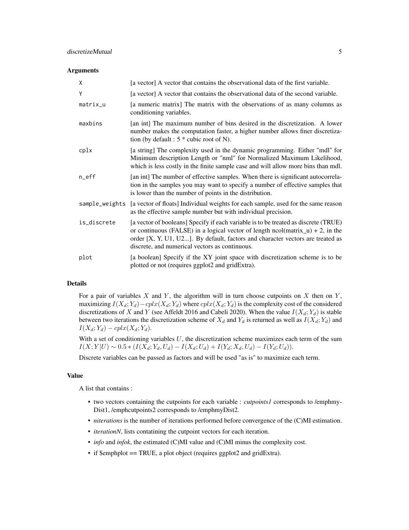#### **Arguments**

| X                               | [a vector] A vector that contains the observational data of the first variable.                                                                                                                                                                                                                              |
|---------------------------------|--------------------------------------------------------------------------------------------------------------------------------------------------------------------------------------------------------------------------------------------------------------------------------------------------------------|
| Y                               | [a vector] A vector that contains the observational data of the second variable.                                                                                                                                                                                                                             |
| matrix_u                        | [a numeric matrix] The matrix with the observations of as many columns as<br>conditioning variables.                                                                                                                                                                                                         |
| maxbins                         | [an int] The maximum number of bins desired in the discretization. A lower<br>number makes the computation faster, a higher number allows finer discretiza-<br>tion (by default : $5 *$ cubic root of N).                                                                                                    |
| cplx                            | [a string] The complexity used in the dynamic programming. Either "mdl" for<br>Minimum description Length or "nml" for Normalized Maximum Likelihood,<br>which is less costly in the finite sample case and will allow more bins than mdl.                                                                   |
| $n$ <sup><math>e</math>ff</sup> | [an int] The number of effective samples. When there is significant autocorrela-<br>tion in the samples you may want to specify a number of effective samples that<br>is lower than the number of points in the distribution.                                                                                |
| sample_weights                  | [a vector of floats] Individual weights for each sample, used for the same reason<br>as the effective sample number but with individual precision.                                                                                                                                                           |
| is_discrete                     | [a vector of booleans] Specify if each variable is to be treated as discrete (TRUE)<br>or continuous (FALSE) in a logical vector of length $ncol(matrix_u) + 2$ , in the<br>order [X, Y, U1, U2]. By default, factors and character vectors are treated as<br>discrete, and numerical vectors as continuous. |
| plot                            | [a boolean] Specify if the XY joint space with discretization scheme is to be<br>plotted or not (requires ggplot2 and gridExtra).                                                                                                                                                                            |

# Details

For a pair of variables  $X$  and  $Y$ , the algorithm will in turn choose cutpoints on  $X$  then on  $Y$ , maximizing  $I(X_d; Y_d) - cplx(X_d; Y_d)$  where  $cplx(X_d; Y_d)$  is the complexity cost of the considered discretizations of X and Y (see Affeldt 2016 and Cabeli 2020). When the value  $I(X_d; Y_d)$  is stable between two iterations the discretization scheme of  $X_d$  and  $Y_d$  is returned as well as  $I(X_d; Y_d)$  and  $I(X_d; Y_d) - cplx(X_d; Y_d).$ 

With a set of conditioning variables  $U$ , the discretization scheme maximizes each term of the sum  $I(X; Y | U) \sim 0.5 * (I(X_d; Y_d, U_d) - I(X_d; U_d) + I(Y_d; X_d, U_d) - I(Y_d; U_d)).$ 

Discrete variables can be passed as factors and will be used "as is" to maximize each term.

#### Value

A list that contains :

- two vectors containing the cutpoints for each variable : *cutpoints1* corresponds to /emphmy-Dist1, /emphcutpoints2 corresponds to /emphmyDist2.
- *niterations* is the number of iterations performed before convergence of the (C)MI estimation.
- *iterationN*, lists contatining the cutpoint vectors for each iteration.
- *info* and *infok*, the estimated (C)MI value and (C)MI minus the complexity cost.
- if \$emphplot == TRUE, a plot object (requires ggplot2 and gridExtra).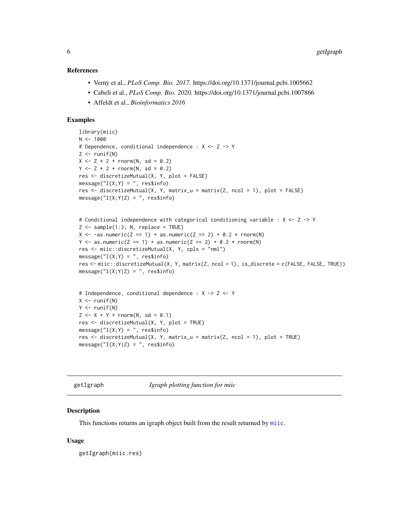## <span id="page-5-0"></span>References

- Verny et al., *PLoS Comp. Bio. 2017.* https://doi.org/10.1371/journal.pcbi.1005662
- Cabeli et al., *PLoS Comp. Bio. 2020.* https://doi.org/10.1371/journal.pcbi.1007866
- Affeldt et al., *Bioinformatics 2016*

#### Examples

```
library(miic)
N < - 1000# Dependence, conditional independence : X <- Z -> Y
Z \leftarrow runif(N)X \le -Z * 2 + \text{rnorm}(N, \text{sd} = 0.2)Y \le -Z * 2 + \text{rnorm}(N, \text{sd} = 0.2)res <- discretizeMutual(X, Y, plot = FALSE)
message("I(X;Y) = ", res$info)res <- discretizeMutual(X, Y, matrix_u = matrix(Z, ncol = 1), plot = FALSE)
message("I(X;Y|Z) = ", res$info)# Conditional independence with categorical conditioning variable : X <- Z -> Y
Z \leq - sample(1:3, N, replace = TRUE)
X \leftarrow -a s.numeric(Z == 1) + as.numeric(Z == 2) + 0.2 * rnorm(N)Y \le - as.numeric(Z == 1) + as.numeric(Z == 2) + 0.2 * rnorm(N)
res <- miic::discretizeMutual(X, Y, cplx = "nml")
message("I(X;Y) = ", res$info)res <- miic::discretizeMutual(X, Y, matrix(Z, ncol = 1), is_discrete = c(FALSE, FALSE, TRUE))
message("I(X;Y|Z) = ", res$info)# Independence, conditional dependence : X -> Z <- Y
X \leftarrow runif(N)Y \leftarrow runif(N)Z \le -X + Y + \text{norm}(N, \text{sd} = 0.1)res <- discretizeMutual(X, Y, plot = TRUE)
message("I(X;Y) = ", res$info)
```

```
res <- discretizeMutual(X, Y, matrix_u = matrix(Z, ncol = 1), plot = TRUE)
message("I(X;Y|Z) = ", \text{res$info})
```
<span id="page-5-1"></span>

| getIgraph |  |
|-----------|--|
|           |  |

Igraph *plotting function for miic* 

#### **Description**

This functions returns an igraph object built from the result returned by [miic](#page-7-1).

#### Usage

getIgraph(miic.res)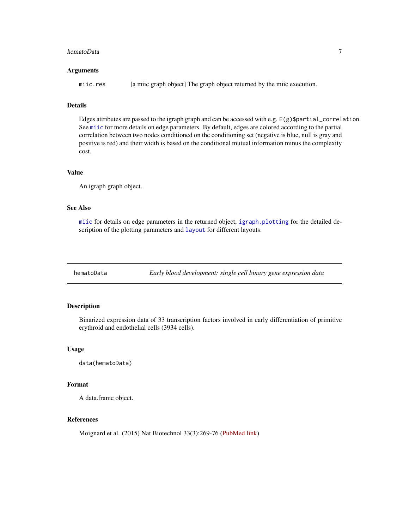#### <span id="page-6-0"></span>hematoData 7

#### Arguments

miic.res [a miic graph object] The graph object returned by the miic execution.

## Details

Edges attributes are passed to the igraph graph and can be accessed with e.g. E(g)\$partial\_correlation. See [miic](#page-7-1) for more details on edge parameters. By default, edges are colored according to the partial correlation between two nodes conditioned on the conditioning set (negative is blue, null is gray and positive is red) and their width is based on the conditional mutual information minus the complexity cost.

# Value

An igraph graph object.

# See Also

[miic](#page-7-1) for details on edge parameters in the returned object, [igraph.plotting](#page-0-0) for the detailed description of the plotting parameters and [layout](#page-0-0) for different layouts.

hematoData *Early blood development: single cell binary gene expression data*

# Description

Binarized expression data of 33 transcription factors involved in early differentiation of primitive erythroid and endothelial cells (3934 cells).

#### Usage

```
data(hematoData)
```
# Format

A data.frame object.

# References

Moignard et al. (2015) Nat Biotechnol 33(3):269-76 [\(PubMed link\)](https://pubmed.ncbi.nlm.nih.gov/25355519/)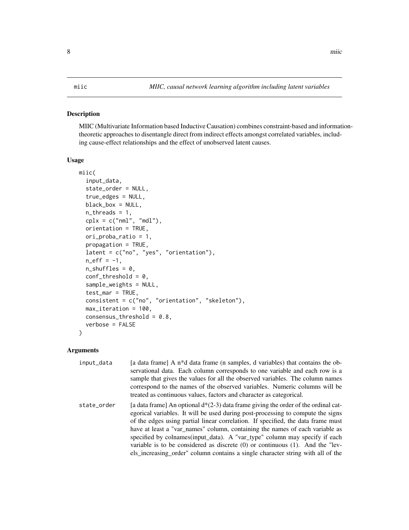# <span id="page-7-1"></span><span id="page-7-0"></span>Description

MIIC (Multivariate Information based Inductive Causation) combines constraint-based and informationtheoretic approaches to disentangle direct from indirect effects amongst correlated variables, including cause-effect relationships and the effect of unobserved latent causes.

#### Usage

```
miic(
  input_data,
  state_order = NULL,
  true_edges = NULL,
  black_box = NULL,
  n_threads = 1,
  cplx = c("nml", "mdl"),orientation = TRUE,
  ori_proba_ratio = 1,
  propagation = TRUE,
  latent = c("no", "yes", "orientation"),n_{eff} = -1,
  n_{shuffles} = 0,
  conf_{th}reshold = 0,
  sample_weights = NULL,
  test_mar = TRUE,
  consistent = c("no", "orientation", "skeleton"),
  max_iteration = 100,
  consensus_threshold = 0.8,
  verbose = FALSE
)
```
# Arguments

| input_data  | [a data frame] A $n*$ d data frame (n samples, d variables) that contains the ob-<br>servational data. Each column corresponds to one variable and each row is a<br>sample that gives the values for all the observed variables. The column names<br>correspond to the names of the observed variables. Numeric columns will be<br>treated as continuous values, factors and character as categorical.                                                                                                                                                                                              |
|-------------|-----------------------------------------------------------------------------------------------------------------------------------------------------------------------------------------------------------------------------------------------------------------------------------------------------------------------------------------------------------------------------------------------------------------------------------------------------------------------------------------------------------------------------------------------------------------------------------------------------|
| state order | [a data frame] An optional $d*(2-3)$ data frame giving the order of the ordinal cat-<br>egorical variables. It will be used during post-processing to compute the signs<br>of the edges using partial linear correlation. If specified, the data frame must<br>have at least a "var_names" column, containing the names of each variable as<br>specified by colnames (input_data). A "var_type" column may specify if each<br>variable is to be considered as discrete $(0)$ or continuous $(1)$ . And the "lev-<br>els_increasing_order" column contains a single character string with all of the |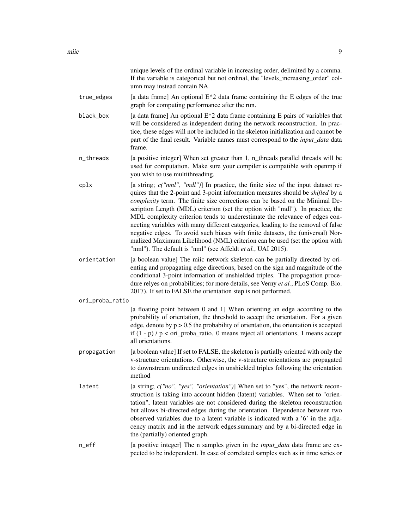unique levels of the ordinal variable in increasing order, delimited by a comma. If the variable is categorical but not ordinal, the "levels\_increasing\_order" column may instead contain NA.

- true\_edges  $\qquad$  [a data frame] An optional  $E^*2$  data frame containing the E edges of the true graph for computing performance after the run.
- black\_box [a data frame] An optional  $E*2$  data frame containing E pairs of variables that will be considered as independent during the network reconstruction. In practice, these edges will not be included in the skeleton initialization and cannot be part of the final result. Variable names must correspond to the *input\_data* data frame.
- n\_threads [a positive integer] When set greater than 1, n\_threads parallel threads will be used for computation. Make sure your compiler is compatible with openmp if you wish to use multithreading.
- cplx [a string; *c("nml", "mdl")*] In practice, the finite size of the input dataset requires that the 2-point and 3-point information measures should be *shifted* by a *complexity* term. The finite size corrections can be based on the Minimal Description Length (MDL) criterion (set the option with "mdl"). In practice, the MDL complexity criterion tends to underestimate the relevance of edges connecting variables with many different categories, leading to the removal of false negative edges. To avoid such biases with finite datasets, the (universal) Normalized Maximum Likelihood (NML) criterion can be used (set the option with "nml"). The default is "nml" (see Affeldt *et al.*, UAI 2015).
- orientation [a boolean value] The miic network skeleton can be partially directed by orienting and propagating edge directions, based on the sign and magnitude of the conditional 3-point information of unshielded triples. The propagation procedure relyes on probabilities; for more details, see Verny *et al.*, PLoS Comp. Bio. 2017). If set to FALSE the orientation step is not performed.
- ori\_proba\_ratio

[a floating point between 0 and 1] When orienting an edge according to the probability of orientation, the threshold to accept the orientation. For a given edge, denote by  $p > 0.5$  the probability of orientation, the orientation is accepted if  $(1 - p)$  /  $p <$  ori\_proba\_ratio. 0 means reject all orientations, 1 means accept all orientations.

- propagation [a boolean value] If set to FALSE, the skeleton is partially oriented with only the v-structure orientations. Otherwise, the v-structure orientations are propagated to downstream undirected edges in unshielded triples following the orientation method
- latent [a string; *c("no", "yes", "orientation")*] When set to "yes", the network reconstruction is taking into account hidden (latent) variables. When set to "orientation", latent variables are not considered during the skeleton reconstruction but allows bi-directed edges during the orientation. Dependence between two observed variables due to a latent variable is indicated with a '6' in the adjacency matrix and in the network edges.summary and by a bi-directed edge in the (partially) oriented graph.
- n\_eff [a positive integer] The n samples given in the *input data* data frame are expected to be independent. In case of correlated samples such as in time series or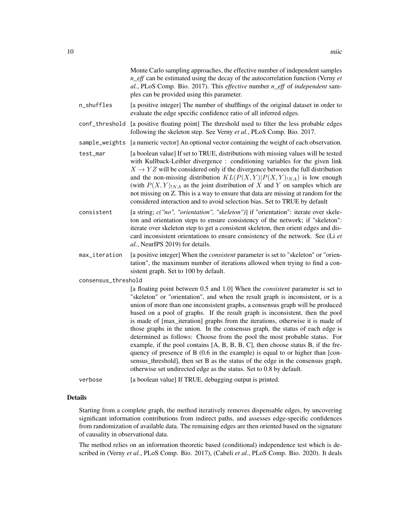|                     |                | Monte Carlo sampling approaches, the effective number of independent samples<br>$n_{\text{eff}}$ can be estimated using the decay of the autocorrelation function (Verny et<br>al., PLoS Comp. Bio. 2017). This effective number $n_{\text{eff}}$ of independent sam-<br>ples can be provided using this parameter.                                                                                                                                                                                                                                                                                                                                                                                                                                                                                                                                                                                                        |
|---------------------|----------------|----------------------------------------------------------------------------------------------------------------------------------------------------------------------------------------------------------------------------------------------------------------------------------------------------------------------------------------------------------------------------------------------------------------------------------------------------------------------------------------------------------------------------------------------------------------------------------------------------------------------------------------------------------------------------------------------------------------------------------------------------------------------------------------------------------------------------------------------------------------------------------------------------------------------------|
|                     | n_shuffles     | [a positive integer] The number of shufflings of the original dataset in order to<br>evaluate the edge specific confidence ratio of all inferred edges.                                                                                                                                                                                                                                                                                                                                                                                                                                                                                                                                                                                                                                                                                                                                                                    |
|                     | conf_threshold | [a positive floating point] The threshold used to filter the less probable edges<br>following the skeleton step. See Verny et al., PLoS Comp. Bio. 2017.                                                                                                                                                                                                                                                                                                                                                                                                                                                                                                                                                                                                                                                                                                                                                                   |
|                     | sample_weights | [a numeric vector] An optional vector containing the weight of each observation.                                                                                                                                                                                                                                                                                                                                                                                                                                                                                                                                                                                                                                                                                                                                                                                                                                           |
|                     | test_mar       | [a boolean value] If set to TRUE, distributions with missing values will be tested<br>with Kullback-Leibler divergence: conditioning variables for the given link<br>$X \rightarrow YZ$ will be considered only if the divergence between the full distribution<br>and the non-missing distribution $KL(P(X, Y) P(X, Y) _{NA})$ is low enough<br>(with $P(X, Y)_{1NA}$ as the joint distribution of X and Y on samples which are<br>not missing on Z. This is a way to ensure that data are missing at random for the<br>considered interaction and to avoid selection bias. Set to TRUE by default                                                                                                                                                                                                                                                                                                                        |
|                     | consistent     | [a string; c("no", "orientation", "skeleton")] if "orientation": iterate over skele-<br>ton and orientation steps to ensure consistency of the network; if "skeleton":<br>iterate over skeleton step to get a consistent skeleton, then orient edges and dis-<br>card inconsistent orientations to ensure consistency of the network. See (Li et<br>al., NeurIPS 2019) for details.                                                                                                                                                                                                                                                                                                                                                                                                                                                                                                                                        |
|                     | max_iteration  | [a positive integer] When the <i>consistent</i> parameter is set to "skeleton" or "orien-<br>tation", the maximum number of iterations allowed when trying to find a con-<br>sistent graph. Set to 100 by default.                                                                                                                                                                                                                                                                                                                                                                                                                                                                                                                                                                                                                                                                                                         |
| consensus_threshold |                |                                                                                                                                                                                                                                                                                                                                                                                                                                                                                                                                                                                                                                                                                                                                                                                                                                                                                                                            |
|                     |                | [a floating point between 0.5 and 1.0] When the <i>consistent</i> parameter is set to<br>"skeleton" or "orientation", and when the result graph is inconsistent, or is a<br>union of more than one inconsistent graphs, a consensus graph will be produced<br>based on a pool of graphs. If the result graph is inconsistent, then the pool<br>is made of [max_iteration] graphs from the iterations, otherwise it is made of<br>those graphs in the union. In the consensus graph, the status of each edge is<br>determined as follows: Choose from the pool the most probable status. For<br>example, if the pool contains [A, B, B, B, C], then choose status B, if the fre-<br>quency of presence of B (0.6 in the example) is equal to or higher than [con-<br>sensus_threshold], then set B as the status of the edge in the consensus graph,<br>otherwise set undirected edge as the status. Set to 0.8 by default. |
|                     | verbose        | [a boolean value] If TRUE, debugging output is printed.                                                                                                                                                                                                                                                                                                                                                                                                                                                                                                                                                                                                                                                                                                                                                                                                                                                                    |

# Details

Starting from a complete graph, the method iteratively removes dispensable edges, by uncovering significant information contributions from indirect paths, and assesses edge-specific confidences from randomization of available data. The remaining edges are then oriented based on the signature of causality in observational data.

The method relies on an information theoretic based (conditional) independence test which is described in (Verny *et al.*, PLoS Comp. Bio. 2017), (Cabeli *et al.*, PLoS Comp. Bio. 2020). It deals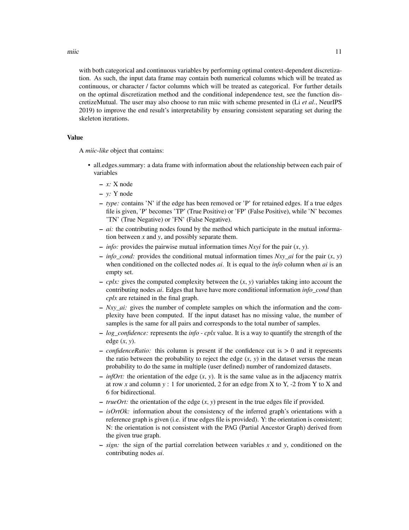miic the contract of the contract of the contract of the contract of the contract of the contract of the contract of the contract of the contract of the contract of the contract of the contract of the contract of the contr

with both categorical and continuous variables by performing optimal context-dependent discretization. As such, the input data frame may contain both numerical columns which will be treated as continuous, or character / factor columns which will be treated as categorical. For further details on the optimal discretization method and the conditional independence test, see the function discretizeMutual. The user may also choose to run miic with scheme presented in (Li *et al.*, NeurIPS 2019) to improve the end result's interpretability by ensuring consistent separating set during the skeleton iterations.

#### Value

A *miic-like* object that contains:

- all.edges.summary: a data frame with information about the relationship between each pair of variables
	- *x:* X node
	- *y:* Y node
	- *type:* contains 'N' if the edge has been removed or 'P' for retained edges. If a true edges file is given, 'P' becomes 'TP' (True Positive) or 'FP' (False Positive), while 'N' becomes 'TN' (True Negative) or 'FN' (False Negative).
	- *ai:* the contributing nodes found by the method which participate in the mutual information between *x* and *y*, and possibly separate them.
	- *info:* provides the pairwise mutual information times *Nxyi* for the pair (*x*, *y*).
	- $\sim$  *info\_cond:* provides the conditional mutual information times *Nxy\_ai* for the pair  $(x, y)$ when conditioned on the collected nodes *ai*. It is equal to the *info* column when *ai* is an empty set.
	- *cplx:* gives the computed complexity between the (*x*, *y*) variables taking into account the contributing nodes *ai*. Edges that have have more conditional information *info\_cond* than *cplx* are retained in the final graph.
	- *Nxy\_ai:* gives the number of complete samples on which the information and the complexity have been computed. If the input dataset has no missing value, the number of samples is the same for all pairs and corresponds to the total number of samples.
	- *log\_confidence:* represents the *info cplx* value. It is a way to quantify the strength of the edge (*x*, *y*).
	- *confidenceRatio:* this column is present if the confidence cut is > 0 and it represents the ratio between the probability to reject the edge  $(x, y)$  in the dataset versus the mean probability to do the same in multiple (user defined) number of randomized datasets.
	- $\sim$  *infOrt:* the orientation of the edge  $(x, y)$ . It is the same value as in the adjacency matrix at row x and column  $y : 1$  for unoriented, 2 for an edge from X to Y,  $-2$  from Y to X and 6 for bidirectional.
	- *trueOrt*: the orientation of the edge  $(x, y)$  present in the true edges file if provided.
	- *isOrtOk:* information about the consistency of the inferred graph's orientations with a reference graph is given (i.e. if true edges file is provided). Y: the orientation is consistent; N: the orientation is not consistent with the PAG (Partial Ancestor Graph) derived from the given true graph.
	- *sign:* the sign of the partial correlation between variables *x* and *y*, conditioned on the contributing nodes *ai*.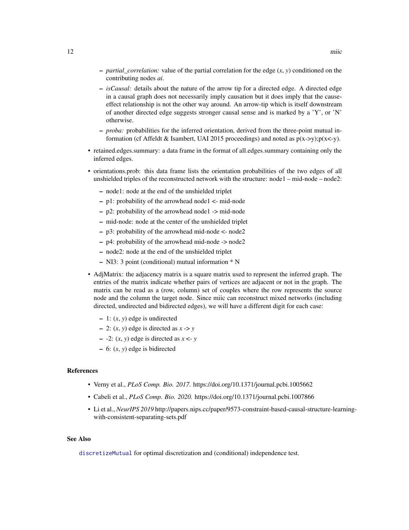- <span id="page-11-0"></span>– *partial\_correlation:* value of the partial correlation for the edge (*x*, *y*) conditioned on the contributing nodes *ai*.
- *isCausal:* details about the nature of the arrow tip for a directed edge. A directed edge in a causal graph does not necessarily imply causation but it does imply that the causeeffect relationship is not the other way around. An arrow-tip which is itself downstream of another directed edge suggests stronger causal sense and is marked by a 'Y', or 'N' otherwise.
- *proba:* probabilities for the inferred orientation, derived from the three-point mutual information (cf Affeldt & Isambert, UAI 2015 proceedings) and noted as  $p(x-y);p(x-y)$ .
- retained.edges.summary: a data frame in the format of all.edges.summary containing only the inferred edges.
- orientations.prob: this data frame lists the orientation probabilities of the two edges of all unshielded triples of the reconstructed network with the structure: node1 – mid-node – node2:
	- node1: node at the end of the unshielded triplet
	- p1: probability of the arrowhead node1 <- mid-node
	- p2: probability of the arrowhead node1 -> mid-node
	- mid-node: node at the center of the unshielded triplet
	- p3: probability of the arrowhead mid-node <- node2
	- p4: probability of the arrowhead mid-node -> node2
	- node2: node at the end of the unshielded triplet
	- NI3: 3 point (conditional) mutual information \* N
- AdjMatrix: the adjacency matrix is a square matrix used to represent the inferred graph. The entries of the matrix indicate whether pairs of vertices are adjacent or not in the graph. The matrix can be read as a (row, column) set of couples where the row represents the source node and the column the target node. Since miic can reconstruct mixed networks (including directed, undirected and bidirected edges), we will have a different digit for each case:
	- 1: (*x*, *y*) edge is undirected
	- $-$  2:  $(x, y)$  edge is directed as  $x \rightarrow y$
	- $-$  -2:  $(x, y)$  edge is directed as  $x \leq y$
	- 6: (*x*, *y*) edge is bidirected

# References

- Verny et al., *PLoS Comp. Bio. 2017.* https://doi.org/10.1371/journal.pcbi.1005662
- Cabeli et al., *PLoS Comp. Bio. 2020.* https://doi.org/10.1371/journal.pcbi.1007866
- Li et al., *NeurIPS 2019* http://papers.nips.cc/paper/9573-constraint-based-causal-structure-learningwith-consistent-separating-sets.pdf

## See Also

[discretizeMutual](#page-3-1) for optimal discretization and (conditional) independence test.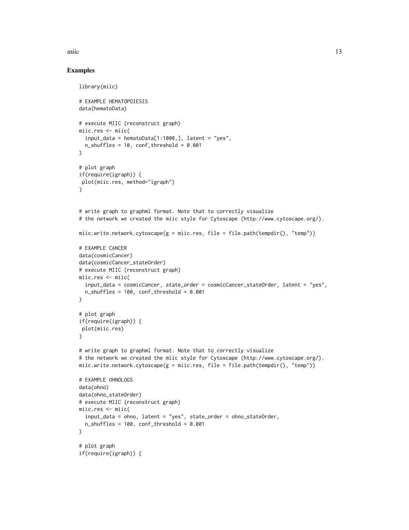miic that the contract of the contract of the contract of the contract of the contract of the contract of the contract of the contract of the contract of the contract of the contract of the contract of the contract of the

# Examples

```
library(miic)
# EXAMPLE HEMATOPOIESIS
data(hematoData)
# execute MIIC (reconstruct graph)
miic.res <- miic(
  input_data = hematoData[1:1000,], later = "yes",n_{shuffles} = 10, conf_threshold = 0.001
)
# plot graph
if(require(igraph)) {
plot(miic.res, method="igraph")
}
# write graph to graphml format. Note that to correctly visualize
# the network we created the miic style for Cytoscape (http://www.cytoscape.org/).
miic.write.network.cytoscape(g = miic.res, file = file.path(tempdir(), "temp"))
# EXAMPLE CANCER
data(cosmicCancer)
data(cosmicCancer_stateOrder)
# execute MIIC (reconstruct graph)
miic.res <- miic(
  input_data = cosmicCancer, state_order = cosmicCancer_stateOrder, latent = "yes",
  n_shuffles = 100, conf_threshold = 0.001
\mathcal{L}# plot graph
if(require(igraph)) {
plot(miic.res)
}
# write graph to graphml format. Note that to correctly visualize
# the network we created the miic style for Cytoscape (http://www.cytoscape.org/).
miic.write.network.cytoscape(g = miic.res, file = file.path(tempdir(), "temp"))
# EXAMPLE OHNOLOGS
data(ohno)
data(ohno_stateOrder)
# execute MIIC (reconstruct graph)
miic.res <- miic(
  input_data = ohno, latent = "yes", state_order = ohno_stateOrder,
  n_shuffles = 100, conf_threshold = 0.001
\lambda# plot graph
if(require(igraph)) {
```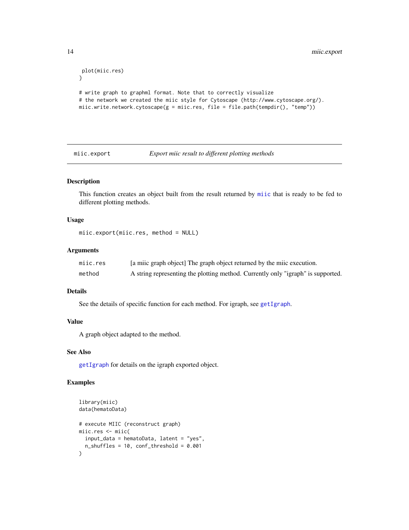```
plot(miic.res)
}
# write graph to graphml format. Note that to correctly visualize
# the network we created the miic style for Cytoscape (http://www.cytoscape.org/).
miic.write.network.cytoscape(g = miic.res, file = file.path(tempdir(), "temp"))
```
<span id="page-13-1"></span>miic.export *Export miic result to different plotting methods*

# Description

This function creates an object built from the result returned by [miic](#page-7-1) that is ready to be fed to different plotting methods.

# Usage

```
miic.export(miic.res, method = NULL)
```
# Arguments

| miic.res | [a miic graph object] The graph object returned by the miic execution.           |
|----------|----------------------------------------------------------------------------------|
| method   | A string representing the plotting method. Currently only "igraph" is supported. |

## Details

See the details of specific function for each method. For igraph, see [getIgraph](#page-5-1).

#### Value

A graph object adapted to the method.

# See Also

[getIgraph](#page-5-1) for details on the igraph exported object.

# Examples

```
library(miic)
data(hematoData)
# execute MIIC (reconstruct graph)
miic.res <- miic(
  input_data = hematoData, latent = "yes",
  n_{shuffles} = 10, conf_threshold = 0.001
)
```
<span id="page-13-0"></span>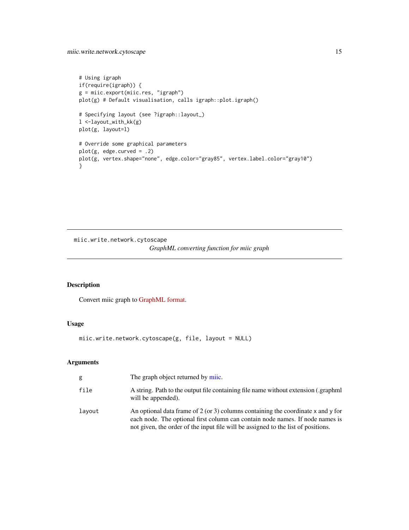<span id="page-14-0"></span>miic.write.network.cytoscape 15

```
# Using igraph
if(require(igraph)) {
g = miic.export(miic.res, "igraph")
plot(g) # Default visualisation, calls igraph::plot.igraph()
# Specifying layout (see ?igraph::layout_)
l <-layout_with_kk(g)
plot(g, layout=l)
# Override some graphical parameters
plot(g, edge.curved = .2)
plot(g, vertex.shape="none", edge.color="gray85", vertex.label.color="gray10")
}
```
miic.write.network.cytoscape

```
GraphML converting function for miic graph
```
# Description

Convert miic graph to [GraphML format.](http://graphml.graphdrawing.org/)

# Usage

miic.write.network.cytoscape(g, file, layout = NULL)

# Arguments

| g      | The graph object returned by mile.                                                                                                                                                                                                                         |
|--------|------------------------------------------------------------------------------------------------------------------------------------------------------------------------------------------------------------------------------------------------------------|
| file   | A string. Path to the output file containing file name without extension (.graphml<br>will be appended).                                                                                                                                                   |
| layout | An optional data frame of 2 (or 3) columns containing the coordinate $x$ and $y$ for<br>each node. The optional first column can contain node names. If node names is<br>not given, the order of the input file will be assigned to the list of positions. |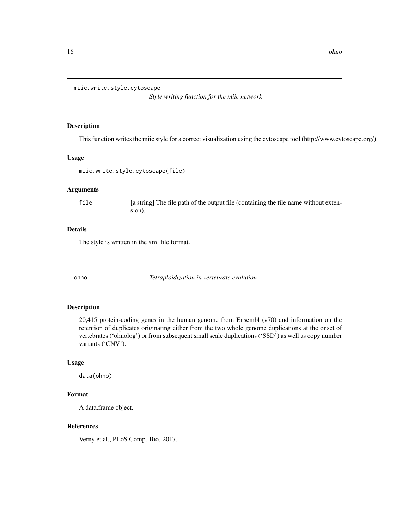<span id="page-15-0"></span>miic.write.style.cytoscape

*Style writing function for the miic network*

# Description

This function writes the miic style for a correct visualization using the cytoscape tool (http://www.cytoscape.org/).

# Usage

```
miic.write.style.cytoscape(file)
```
# Arguments

file [a string] The file path of the output file (containing the file name without extension).

# Details

The style is written in the xml file format.

ohno *Tetraploidization in vertebrate evolution*

#### Description

20,415 protein-coding genes in the human genome from Ensembl (v70) and information on the retention of duplicates originating either from the two whole genome duplications at the onset of vertebrates ('ohnolog') or from subsequent small scale duplications ('SSD') as well as copy number variants ('CNV').

# Usage

data(ohno)

# Format

A data.frame object.

# References

Verny et al., PLoS Comp. Bio. 2017.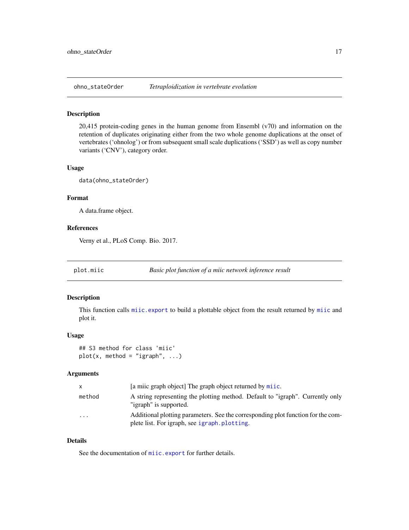<span id="page-16-0"></span>

# Description

20,415 protein-coding genes in the human genome from Ensembl (v70) and information on the retention of duplicates originating either from the two whole genome duplications at the onset of vertebrates ('ohnolog') or from subsequent small scale duplications ('SSD') as well as copy number variants ('CNV'), category order.

### Usage

data(ohno\_stateOrder)

# Format

A data.frame object.

# References

Verny et al., PLoS Comp. Bio. 2017.

# Description

This function calls [miic.export](#page-13-1) to build a plottable object from the result returned by [miic](#page-7-1) and plot it.

#### Usage

## S3 method for class 'miic'  $plot(x, method = "igraph", ...)$ 

#### Arguments

| X.       | [a milic graph object] The graph object returned by milic.                                                                       |
|----------|----------------------------------------------------------------------------------------------------------------------------------|
| method   | A string representing the plotting method. Default to "igraph". Currently only<br>"igraph" is supported.                         |
| $\cdots$ | Additional plotting parameters. See the corresponding plot function for the com-<br>plete list. For igraph, see igraph.plotting. |

# Details

See the documentation of [miic.export](#page-13-1) for further details.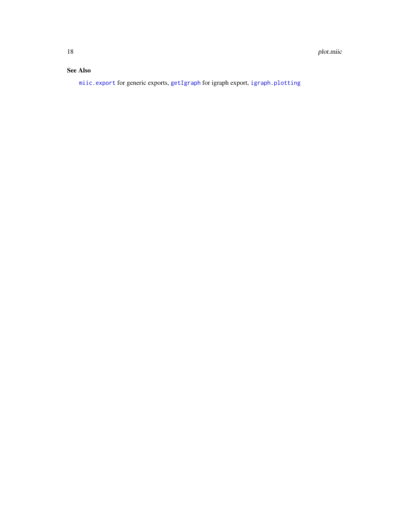# <span id="page-17-0"></span>See Also

[miic.export](#page-13-1) for generic exports, [getIgraph](#page-5-1) for igraph export, [igraph.plotting](#page-0-0)